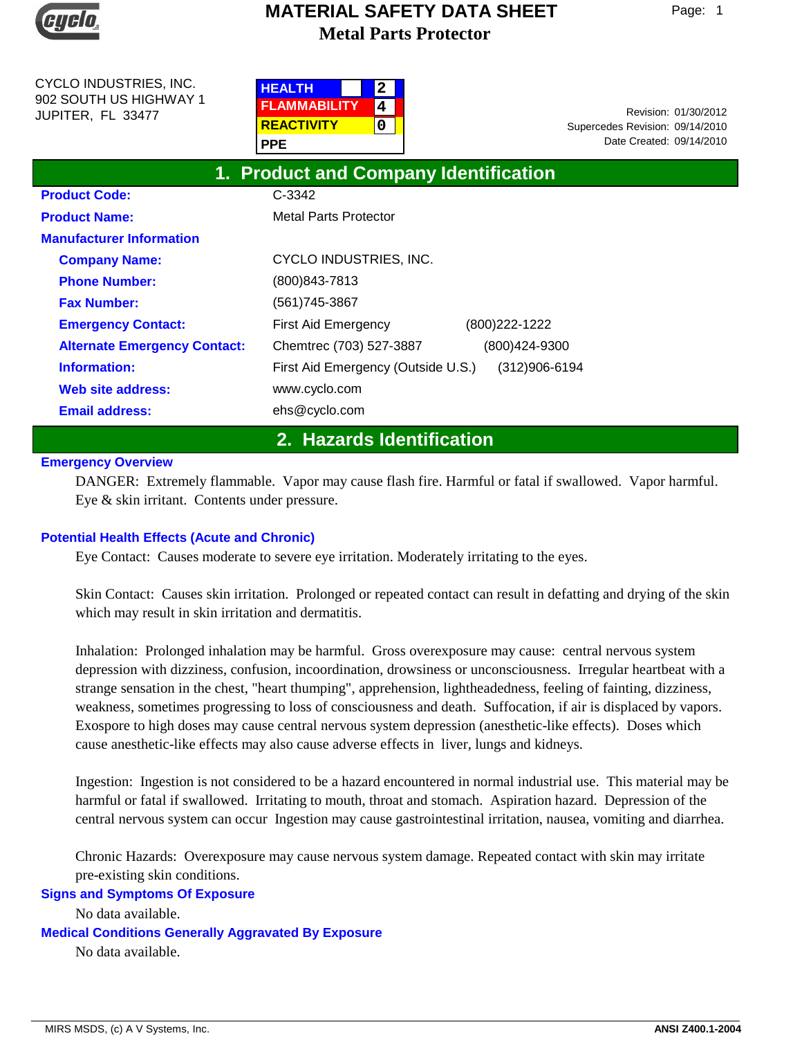

CYCLO INDUSTRIES, INC. 902 SOUTH US HIGHWAY 1 JUPITER, FL 33477

| <b>HEALTH</b>       | 2 |  |
|---------------------|---|--|
| <b>FLAMMABILITY</b> |   |  |
| <b>REACTIVITY</b>   | n |  |
| <b>PPE</b>          |   |  |

Date Created: 09/14/2010 01/30/2012 Revision: Supercedes Revision: 09/14/2010

| 1. Product and Company Identification |                                                     |  |  |  |
|---------------------------------------|-----------------------------------------------------|--|--|--|
| <b>Product Code:</b>                  | C-3342                                              |  |  |  |
| <b>Product Name:</b>                  | <b>Metal Parts Protector</b>                        |  |  |  |
| <b>Manufacturer Information</b>       |                                                     |  |  |  |
| <b>Company Name:</b>                  | CYCLO INDUSTRIES, INC.                              |  |  |  |
| <b>Phone Number:</b>                  | (800) 843-7813                                      |  |  |  |
| <b>Fax Number:</b>                    | (561) 745-3867                                      |  |  |  |
| <b>Emergency Contact:</b>             | (800) 222-1222<br>First Aid Emergency               |  |  |  |
| <b>Alternate Emergency Contact:</b>   | Chemtrec (703) 527-3887<br>(800)424-9300            |  |  |  |
| Information:                          | First Aid Emergency (Outside U.S.)<br>(312)906-6194 |  |  |  |
| Web site address:                     | www.cyclo.com                                       |  |  |  |
| <b>Email address:</b>                 | ehs@cyclo.com                                       |  |  |  |
|                                       |                                                     |  |  |  |

**2. Hazards Identification**

### **Emergency Overview**

DANGER: Extremely flammable. Vapor may cause flash fire. Harmful or fatal if swallowed. Vapor harmful. Eye & skin irritant. Contents under pressure.

### **Potential Health Effects (Acute and Chronic)**

Eye Contact: Causes moderate to severe eye irritation. Moderately irritating to the eyes.

Skin Contact: Causes skin irritation. Prolonged or repeated contact can result in defatting and drying of the skin which may result in skin irritation and dermatitis.

Inhalation: Prolonged inhalation may be harmful. Gross overexposure may cause: central nervous system depression with dizziness, confusion, incoordination, drowsiness or unconsciousness. Irregular heartbeat with a strange sensation in the chest, "heart thumping", apprehension, lightheadedness, feeling of fainting, dizziness, weakness, sometimes progressing to loss of consciousness and death. Suffocation, if air is displaced by vapors. Exospore to high doses may cause central nervous system depression (anesthetic-like effects). Doses which cause anesthetic-like effects may also cause adverse effects in liver, lungs and kidneys.

Ingestion: Ingestion is not considered to be a hazard encountered in normal industrial use. This material may be harmful or fatal if swallowed. Irritating to mouth, throat and stomach. Aspiration hazard. Depression of the central nervous system can occur Ingestion may cause gastrointestinal irritation, nausea, vomiting and diarrhea.

Chronic Hazards: Overexposure may cause nervous system damage. Repeated contact with skin may irritate pre-existing skin conditions.

### **Signs and Symptoms Of Exposure**

No data available.

**Medical Conditions Generally Aggravated By Exposure**

No data available.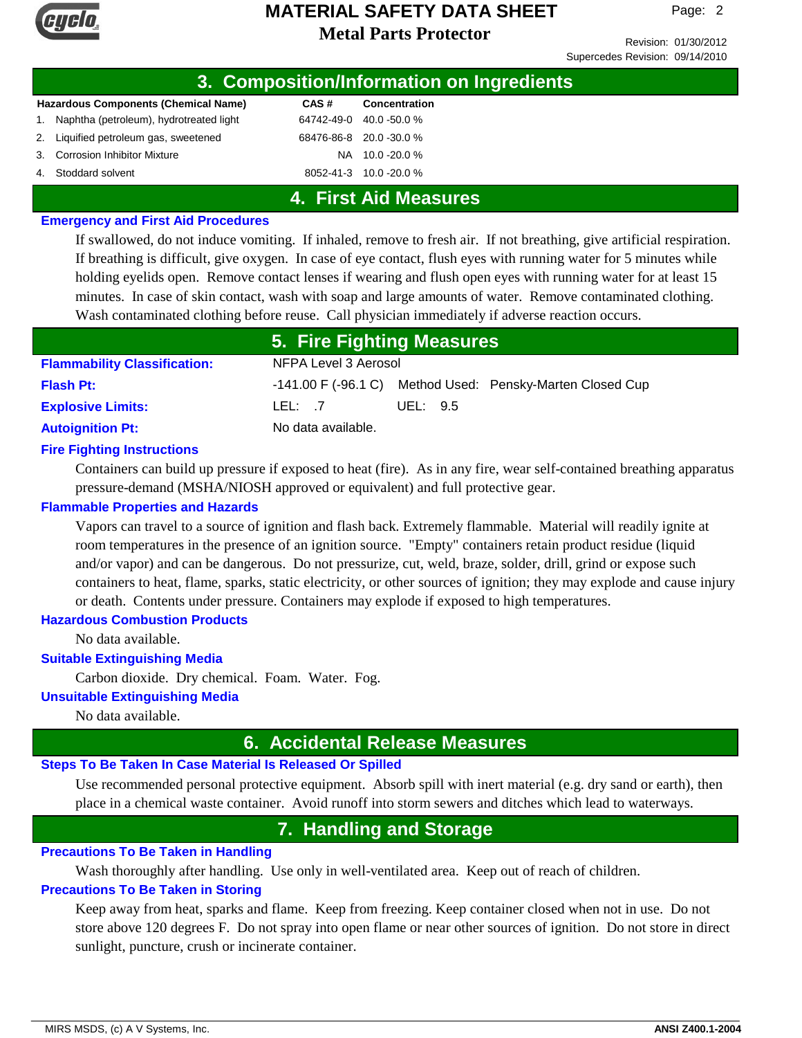

Revision: 01/30/2012 Supercedes Revision: 09/14/2010

| 3. Composition/Information on Ingredients |                                                                                                                                                                                       |                         |
|-------------------------------------------|---------------------------------------------------------------------------------------------------------------------------------------------------------------------------------------|-------------------------|
|                                           | CAS#                                                                                                                                                                                  | Concentration           |
|                                           | 64742-49-0                                                                                                                                                                            | 40.0 -50.0 %            |
|                                           |                                                                                                                                                                                       | 68476-86-8 20.0 -30.0 % |
|                                           | NA.                                                                                                                                                                                   | 10.0 -20.0 %            |
|                                           |                                                                                                                                                                                       | 8052-41-3 10.0 -20.0 %  |
|                                           | <b>Hazardous Components (Chemical Name)</b><br>Naphtha (petroleum), hydrotreated light<br>2. Liquified petroleum gas, sweetened<br>3. Corrosion Inhibitor Mixture<br>Stoddard solvent |                         |

### **4. First Aid Measures**

#### **Emergency and First Aid Procedures**

If swallowed, do not induce vomiting. If inhaled, remove to fresh air. If not breathing, give artificial respiration. If breathing is difficult, give oxygen. In case of eye contact, flush eyes with running water for 5 minutes while holding eyelids open. Remove contact lenses if wearing and flush open eyes with running water for at least 15 minutes. In case of skin contact, wash with soap and large amounts of water. Remove contaminated clothing. Wash contaminated clothing before reuse. Call physician immediately if adverse reaction occurs.

|                                     | 5. Fire Fighting Measures |          |                                                           |
|-------------------------------------|---------------------------|----------|-----------------------------------------------------------|
| <b>Flammability Classification:</b> | NFPA Level 3 Aerosol      |          |                                                           |
| <b>Flash Pt:</b>                    |                           |          | -141.00 F (-96.1 C) Method Used: Pensky-Marten Closed Cup |
| <b>Explosive Limits:</b>            | LEL: 7                    | UEL: 9.5 |                                                           |
| <b>Autoignition Pt:</b>             | No data available.        |          |                                                           |

### **Fire Fighting Instructions**

Containers can build up pressure if exposed to heat (fire). As in any fire, wear self-contained breathing apparatus pressure-demand (MSHA/NIOSH approved or equivalent) and full protective gear.

### **Flammable Properties and Hazards**

Vapors can travel to a source of ignition and flash back. Extremely flammable. Material will readily ignite at room temperatures in the presence of an ignition source. "Empty" containers retain product residue (liquid and/or vapor) and can be dangerous. Do not pressurize, cut, weld, braze, solder, drill, grind or expose such containers to heat, flame, sparks, static electricity, or other sources of ignition; they may explode and cause injury or death. Contents under pressure. Containers may explode if exposed to high temperatures.

### **Hazardous Combustion Products**

No data available.

### **Suitable Extinguishing Media**

Carbon dioxide. Dry chemical. Foam. Water. Fog.

#### **Unsuitable Extinguishing Media**

No data available.

### **6. Accidental Release Measures**

### **Steps To Be Taken In Case Material Is Released Or Spilled**

Use recommended personal protective equipment. Absorb spill with inert material (e.g. dry sand or earth), then place in a chemical waste container. Avoid runoff into storm sewers and ditches which lead to waterways.

## **7. Handling and Storage**

### **Precautions To Be Taken in Handling**

Wash thoroughly after handling. Use only in well-ventilated area. Keep out of reach of children.

### **Precautions To Be Taken in Storing**

Keep away from heat, sparks and flame. Keep from freezing. Keep container closed when not in use. Do not store above 120 degrees F. Do not spray into open flame or near other sources of ignition. Do not store in direct sunlight, puncture, crush or incinerate container.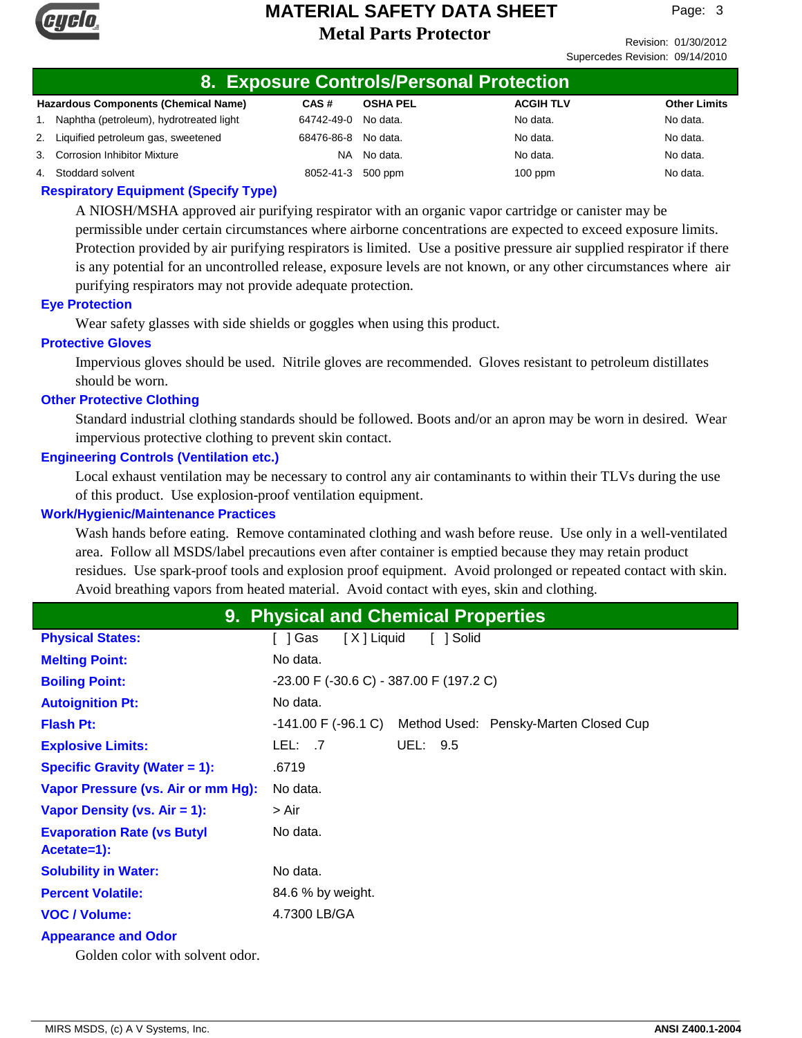

Revision: 01/30/2012 Supercedes Revision: 09/14/2010

### **8. Exposure Controls/Personal Protection**

| <b>Hazardous Components (Chemical Name)</b> | CAS#                | <b>OSHA PEL</b> | <b>ACGIH TLV</b> | <b>Other Limits</b> |
|---------------------------------------------|---------------------|-----------------|------------------|---------------------|
| 1. Naphtha (petroleum), hydrotreated light  | 64742-49-0 No data. |                 | No data.         | No data.            |
| 2. Liquified petroleum gas, sweetened       | 68476-86-8 No data. |                 | No data.         | No data.            |
| 3. Corrosion Inhibitor Mixture              |                     | NA No data.     | No data.         | No data.            |
| 4. Stoddard solvent                         | 8052-41-3 500 ppm   |                 | $100$ ppm        | No data.            |

### **Respiratory Equipment (Specify Type)**

A NIOSH/MSHA approved air purifying respirator with an organic vapor cartridge or canister may be permissible under certain circumstances where airborne concentrations are expected to exceed exposure limits. Protection provided by air purifying respirators is limited. Use a positive pressure air supplied respirator if there is any potential for an uncontrolled release, exposure levels are not known, or any other circumstances where air purifying respirators may not provide adequate protection.

### **Eye Protection**

Wear safety glasses with side shields or goggles when using this product.

#### **Protective Gloves**

Impervious gloves should be used. Nitrile gloves are recommended. Gloves resistant to petroleum distillates should be worn.

### **Other Protective Clothing**

Standard industrial clothing standards should be followed. Boots and/or an apron may be worn in desired. Wear impervious protective clothing to prevent skin contact.

### **Engineering Controls (Ventilation etc.)**

Local exhaust ventilation may be necessary to control any air contaminants to within their TLVs during the use of this product. Use explosion-proof ventilation equipment.

#### **Work/Hygienic/Maintenance Practices**

Wash hands before eating. Remove contaminated clothing and wash before reuse. Use only in a well-ventilated area. Follow all MSDS/label precautions even after container is emptied because they may retain product residues. Use spark-proof tools and explosion proof equipment. Avoid prolonged or repeated contact with skin. Avoid breathing vapors from heated material. Avoid contact with eyes, skin and clothing.

### **9. Physical and Chemical Properties**

| <b>Physical States:</b>              | [X] Liquid<br>[ ] Solid<br>[]Gas                          |
|--------------------------------------|-----------------------------------------------------------|
| <b>Melting Point:</b>                | No data.                                                  |
| <b>Boiling Point:</b>                | $-23.00$ F ( $-30.6$ C) $-387.00$ F (197.2 C)             |
| <b>Autoignition Pt:</b>              | No data.                                                  |
| <b>Flash Pt:</b>                     | -141.00 F (-96.1 C) Method Used: Pensky-Marten Closed Cup |
| <b>Explosive Limits:</b>             | UEL: 9.5<br>LEL: 7                                        |
| <b>Specific Gravity (Water = 1):</b> | .6719                                                     |
| Vapor Pressure (vs. Air or mm Hg):   | No data.                                                  |
| Vapor Density (vs. Air = 1):         | > Air                                                     |
| <b>Evaporation Rate (vs Butyl</b>    | No data.                                                  |
| Acetate=1):                          |                                                           |
| <b>Solubility in Water:</b>          | No data.                                                  |
| <b>Percent Volatile:</b>             | 84.6 % by weight.                                         |
| <b>VOC / Volume:</b>                 | 4.7300 LB/GA                                              |
| <b>Appearance and Odor</b>           |                                                           |
| Golden color with solvent odor.      |                                                           |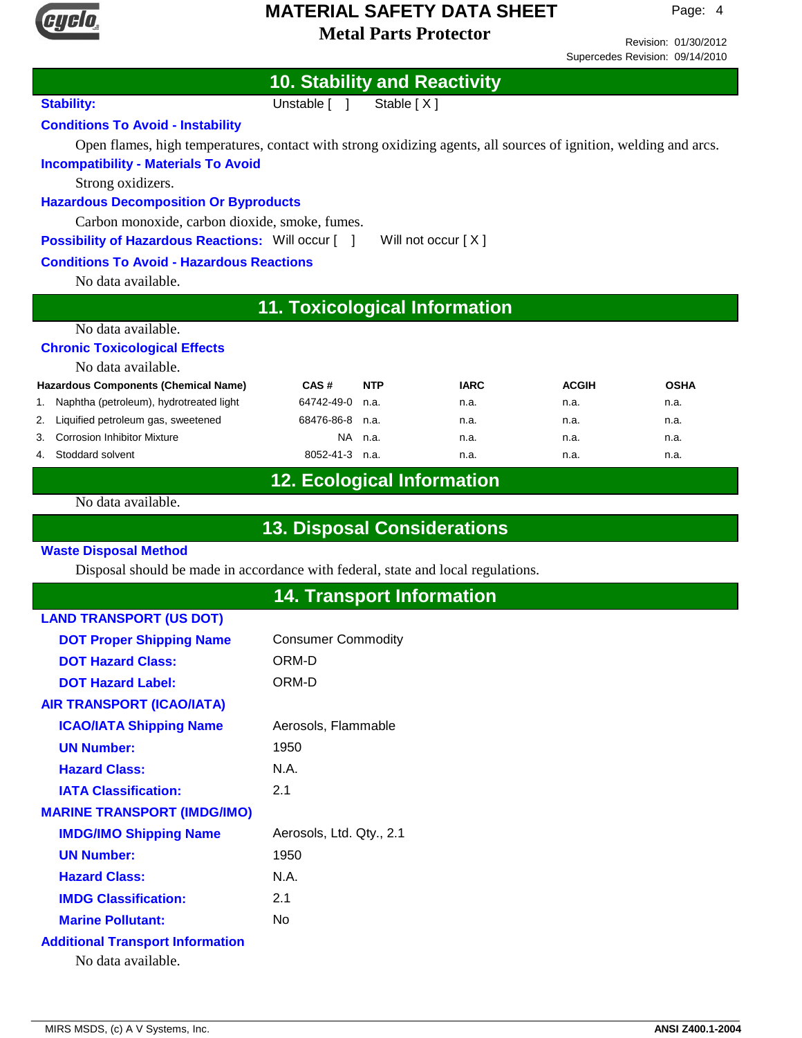

1.

### **Metal Parts Protector MATERIAL SAFETY DATA SHEET**

**10. Stability and Reactivity**

Stability: Unstable [ ] Stable [ X ]

Revision: 01/30/2012 Supercedes Revision: 09/14/2010

**Conditions To Avoid - Instability** Open flames, high temperatures, contact with strong oxidizing agents, all sources of ignition, welding and arcs. **Incompatibility - Materials To Avoid** Strong oxidizers. **Hazardous Decomposition Or Byproducts** Carbon monoxide, carbon dioxide, smoke, fumes. **Possibility of Hazardous Reactions:** Will occur [ ] Will not occur [ X ] **Conditions To Avoid - Hazardous Reactions** No data available. **11. Toxicological Information** No data available. **Chronic Toxicological Effects** No data available. n.a. n.a. n.a. **Hazardous Components (Chemical Name)** Naphtha (petroleum), hydrotreated light **CAS #** 64742-49-0 n.a. **NTP IARC ACGIH OSHA** 2. Liquified petroleum gas, sweetened 68476-86-8 n.a. n.a. n.a. n.a. 3. Corrosion Inhibitor Mixture NA n.a. n.a. n.a. n.a. 4. Stoddard solvent 8052-41-3 n.a. n.a. n.a. n.a. **12. Ecological Information** No data available. **13. Disposal Considerations Waste Disposal Method** Disposal should be made in accordance with federal, state and local regulations. **14. Transport Information LAND TRANSPORT (US DOT) DOT Proper Shipping Name** Consumer Commodity

| <b>DUT Proper Shipping Name</b>         | CONSUMER COMMODITY       |
|-----------------------------------------|--------------------------|
| <b>DOT Hazard Class:</b>                | ORM-D                    |
| <b>DOT Hazard Label:</b>                | ORM-D                    |
| <b>AIR TRANSPORT (ICAO/IATA)</b>        |                          |
| <b>ICAO/IATA Shipping Name</b>          | Aerosols, Flammable      |
| <b>UN Number:</b>                       | 1950                     |
| <b>Hazard Class:</b>                    | N.A.                     |
| <b>IATA Classification:</b>             | 2.1                      |
| <b>MARINE TRANSPORT (IMDG/IMO)</b>      |                          |
| <b>IMDG/IMO Shipping Name</b>           | Aerosols, Ltd. Qty., 2.1 |
| <b>UN Number:</b>                       | 1950                     |
| <b>Hazard Class:</b>                    | N.A.                     |
| <b>IMDG Classification:</b>             | 2.1                      |
| <b>Marine Pollutant:</b>                | No                       |
| <b>Additional Transport Information</b> |                          |
|                                         |                          |

No data available.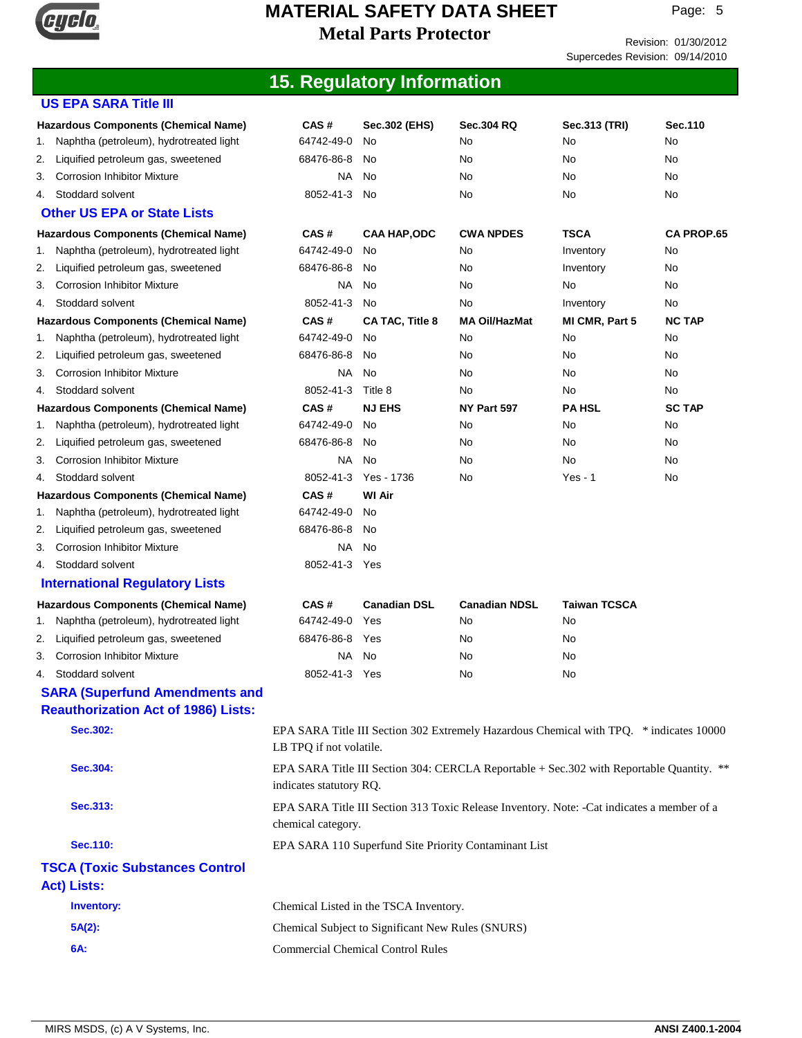

Revision: 01/30/2012

Supercedes Revision: 09/14/2010

## **15. Regulatory Information**

| <b>US EPA SARA Title III</b>                  |                                                   |                                          |                                                                                            |                     |                   |
|-----------------------------------------------|---------------------------------------------------|------------------------------------------|--------------------------------------------------------------------------------------------|---------------------|-------------------|
| <b>Hazardous Components (Chemical Name)</b>   | CAS#                                              | Sec.302 (EHS)                            | <b>Sec.304 RQ</b>                                                                          | Sec.313 (TRI)       | Sec. 110          |
| Naphtha (petroleum), hydrotreated light<br>1. | 64742-49-0                                        | No                                       | No                                                                                         | No                  | No                |
| Liquified petroleum gas, sweetened<br>2.      | 68476-86-8                                        | No                                       | No                                                                                         | No                  | No                |
| <b>Corrosion Inhibitor Mixture</b><br>3.      | NA.                                               | No                                       | No                                                                                         | No                  | No                |
| Stoddard solvent<br>4.                        | 8052-41-3                                         | No                                       | No                                                                                         | No                  | No                |
| <b>Other US EPA or State Lists</b>            |                                                   |                                          |                                                                                            |                     |                   |
| <b>Hazardous Components (Chemical Name)</b>   | CAS#                                              | <b>CAA HAP,ODC</b>                       | <b>CWA NPDES</b>                                                                           | <b>TSCA</b>         | <b>CA PROP.65</b> |
| Naphtha (petroleum), hydrotreated light<br>1. | 64742-49-0                                        | No                                       | No                                                                                         | Inventory           | No                |
| Liquified petroleum gas, sweetened<br>2.      | 68476-86-8                                        | No                                       | No                                                                                         | Inventory           | No                |
| <b>Corrosion Inhibitor Mixture</b><br>3.      | <b>NA</b>                                         | No                                       | No                                                                                         | No                  | No                |
| Stoddard solvent<br>4.                        | 8052-41-3                                         | <b>No</b>                                | No                                                                                         | Inventory           | No                |
| Hazardous Components (Chemical Name)          | CAS#                                              | CA TAC, Title 8                          | <b>MA Oil/HazMat</b>                                                                       | MI CMR, Part 5      | <b>NC TAP</b>     |
| Naphtha (petroleum), hydrotreated light<br>1. | 64742-49-0                                        | No                                       | No                                                                                         | No                  | No                |
| Liquified petroleum gas, sweetened<br>2.      | 68476-86-8                                        | No                                       | No                                                                                         | No                  | No                |
| <b>Corrosion Inhibitor Mixture</b><br>3.      | NA.                                               | No                                       | No                                                                                         | No                  | No                |
| Stoddard solvent<br>4.                        | 8052-41-3                                         | Title 8                                  | No                                                                                         | No                  | No                |
| <b>Hazardous Components (Chemical Name)</b>   | CAS#                                              | <b>NJ EHS</b>                            | NY Part 597                                                                                | <b>PA HSL</b>       | <b>SC TAP</b>     |
| Naphtha (petroleum), hydrotreated light<br>1. | 64742-49-0                                        | No                                       | No                                                                                         | No                  | No                |
| Liquified petroleum gas, sweetened<br>2.      | 68476-86-8                                        | No                                       | No                                                                                         | No                  | No                |
| <b>Corrosion Inhibitor Mixture</b><br>3.      | NA                                                | <b>No</b>                                | No                                                                                         | No                  | No                |
| Stoddard solvent<br>4.                        | 8052-41-3                                         | Yes - 1736                               | No                                                                                         | $Yes - 1$           | No                |
| <b>Hazardous Components (Chemical Name)</b>   | CAS#                                              | <b>WI Air</b>                            |                                                                                            |                     |                   |
| Naphtha (petroleum), hydrotreated light<br>1. | 64742-49-0                                        | No.                                      |                                                                                            |                     |                   |
| Liquified petroleum gas, sweetened<br>2.      | 68476-86-8                                        | No                                       |                                                                                            |                     |                   |
| <b>Corrosion Inhibitor Mixture</b><br>3.      | NA                                                | No                                       |                                                                                            |                     |                   |
| Stoddard solvent<br>4.                        | 8052-41-3 Yes                                     |                                          |                                                                                            |                     |                   |
| <b>International Regulatory Lists</b>         |                                                   |                                          |                                                                                            |                     |                   |
| <b>Hazardous Components (Chemical Name)</b>   | CAS#                                              | <b>Canadian DSL</b>                      | <b>Canadian NDSL</b>                                                                       | <b>Taiwan TCSCA</b> |                   |
| Naphtha (petroleum), hydrotreated light<br>1. | 64742-49-0                                        | Yes                                      | No                                                                                         | No                  |                   |
| Liquified petroleum gas, sweetened<br>2.      | 68476-86-8                                        | Yes                                      | No                                                                                         | No                  |                   |
| <b>Corrosion Inhibitor Mixture</b><br>3.      | NA.                                               | No                                       | No                                                                                         | No                  |                   |
| Stoddard solvent<br>4.                        | 8052-41-3 Yes                                     |                                          | No                                                                                         | No                  |                   |
| <b>SARA (Superfund Amendments and</b>         |                                                   |                                          |                                                                                            |                     |                   |
| <b>Reauthorization Act of 1986) Lists:</b>    |                                                   |                                          |                                                                                            |                     |                   |
| <b>Sec.302:</b>                               | LB TPQ if not volatile.                           |                                          | EPA SARA Title III Section 302 Extremely Hazardous Chemical with TPQ. * indicates 10000    |                     |                   |
| Sec.304:                                      | indicates statutory RQ.                           |                                          | EPA SARA Title III Section 304: CERCLA Reportable + Sec. 302 with Reportable Quantity. **  |                     |                   |
| Sec.313:                                      | chemical category.                                |                                          | EPA SARA Title III Section 313 Toxic Release Inventory. Note: -Cat indicates a member of a |                     |                   |
| <b>Sec.110:</b>                               |                                                   |                                          | EPA SARA 110 Superfund Site Priority Contaminant List                                      |                     |                   |
|                                               |                                                   |                                          |                                                                                            |                     |                   |
| <b>TSCA (Toxic Substances Control</b>         |                                                   |                                          |                                                                                            |                     |                   |
| <b>Act) Lists:</b>                            |                                                   |                                          |                                                                                            |                     |                   |
| <b>Inventory:</b>                             |                                                   | Chemical Listed in the TSCA Inventory.   |                                                                                            |                     |                   |
| $5A(2)$ :                                     | Chemical Subject to Significant New Rules (SNURS) |                                          |                                                                                            |                     |                   |
| 6A:                                           |                                                   | <b>Commercial Chemical Control Rules</b> |                                                                                            |                     |                   |
|                                               |                                                   |                                          |                                                                                            |                     |                   |